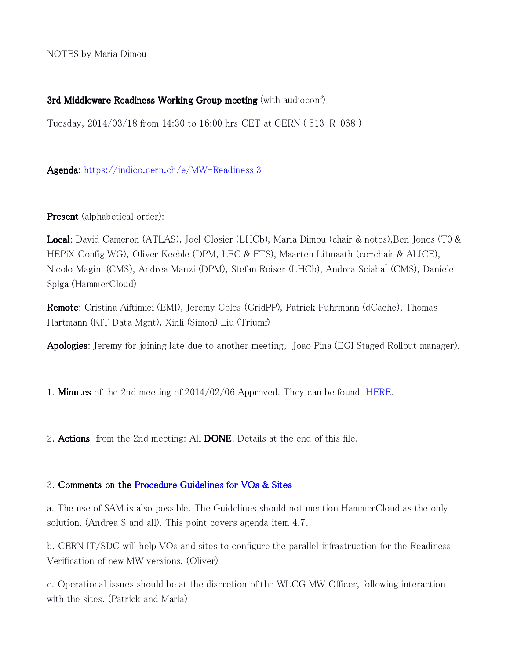NOTES by Maria Dimou

### 3rd Middleware Readiness Working Group meeting (with audioconf)

Tuesday, 2014/03/18 from 14:30 to 16:00 hrs CET at CERN ( 513-R-068 )

Agenda: [https://indico.cern.ch/e/MW-Readiness\\_3](https://indico.cern.ch/e/MW-Readiness_3)

Present (alphabetical order):

Local: David Cameron (ATLAS), Joel Closier (LHCb), Maria Dimou (chair & notes),Ben Jones (T0 & HEPiX Config WG), Oliver Keeble (DPM, LFC & FTS), Maarten Litmaath (co-chair & ALICE), Nicolo Magini (CMS), Andrea Manzi (DPM), Stefan Roiser (LHCb), Andrea Sciaba` (CMS), Daniele Spiga (HammerCloud)

Remote: Cristina Aiftimiei (EMI), Jeremy Coles (GridPP), Patrick Fuhrmann (dCache), Thomas Hartmann (KIT Data Mgnt), Xinli (Simon) Liu (Triumf)

**Apologies**: Jeremy for joining late due to another meeting, Joao Pina (EGI Staged Rollout manager).

1. **Minutes** of the 2nd meeting of 2014/02/06 Approved. They can be found [HERE.](http://indico.cern.ch/event/298170/material/minutes/)

2. **Actions** from the 2nd meeting: All **DONE**. Details at the end of this file.

### 3. Comments on the [Procedure Guidelines for VOs & Sites](https://twiki.cern.ch/twiki/bin/view/LCG/MiddlewareReadiness#Procedure_Guidelines_VOs_Sites)

a. The use of SAM is also possible. The Guidelines should not mention HammerCloud as the only solution. (Andrea S and all). This point covers agenda item 4.7.

b. CERN IT/SDC will help VOs and sites to configure the parallel infrastruction for the Readiness Verification of new MW versions. (Oliver)

c. Operational issues should be at the discretion of the WLCG MW Officer, following interaction with the sites. (Patrick and Maria)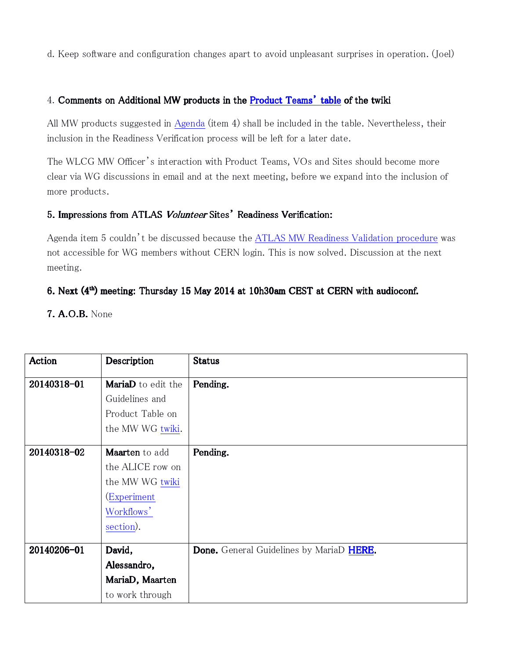d. Keep software and configuration changes apart to avoid unpleasant surprises in operation. (Joel)

## 4. Comments on Additional MW products in the [Product Teams' table](https://twiki.cern.ch/twiki/bin/view/LCG/MiddlewareReadiness#Product_Teams) of the twiki

All MW products suggested in [Agenda](http://indico.cern.ch/event/MW-Readiness_3) (item 4) shall be included in the table. Nevertheless, their inclusion in the Readiness Verification process will be left for a later date.

The WLCG MW Officer's interaction with Product Teams, VOs and Sites should become more clear via WG discussions in email and at the next meeting, before we expand into the inclusion of more products.

## 5. Impressions from ATLAS Volunteer Sites' Readiness Verification:

Agenda item 5 couldn't be discussed because the [ATLAS MW Readiness Validation procedure](https://twiki.cern.ch/twiki/bin/viewauth/AtlasComputing/MiddlewareReadinessWorkingGroup) was not accessible for WG members without CERN login. This is now solved. Discussion at the next meeting.

# 6. Next  $(4<sup>th</sup>)$  meeting: Thursday 15 May 2014 at 10h30am CEST at CERN with audioconf.

7. A.O.B. None

| <b>Action</b> | Description        | <b>Status</b>                                   |
|---------------|--------------------|-------------------------------------------------|
| 20140318-01   | MariaD to edit the | Pending.                                        |
|               | Guidelines and     |                                                 |
|               | Product Table on   |                                                 |
|               | the MW WG twiki.   |                                                 |
|               |                    |                                                 |
| 20140318-02   | Maarten to add     | Pending.                                        |
|               | the ALICE row on   |                                                 |
|               | the MW WG twiki    |                                                 |
|               | (Experiment)       |                                                 |
|               | Workflows'         |                                                 |
|               | section).          |                                                 |
|               |                    |                                                 |
| 20140206-01   | David,             | <b>Done.</b> General Guidelines by MariaD HERE. |
|               | Alessandro,        |                                                 |
|               | MariaD, Maarten    |                                                 |
|               | to work through    |                                                 |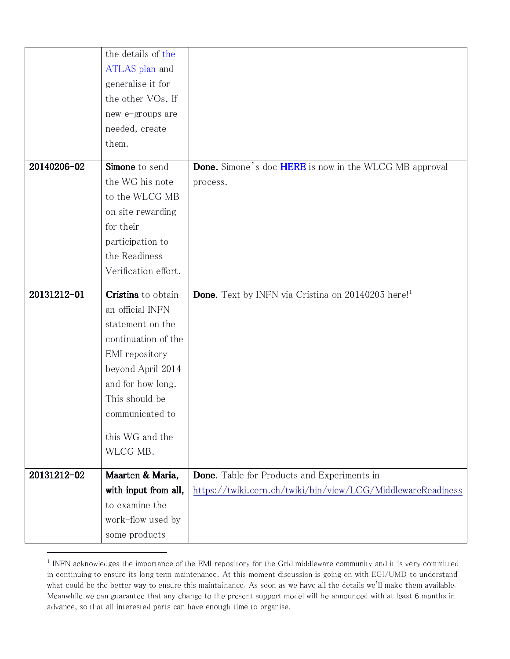|             | the details of the    |                                                                      |
|-------------|-----------------------|----------------------------------------------------------------------|
|             | <b>ATLAS</b> plan and |                                                                      |
|             | generalise it for     |                                                                      |
|             | the other VOs. If     |                                                                      |
|             | new e-groups are      |                                                                      |
|             | needed, create        |                                                                      |
|             | them.                 |                                                                      |
| 20140206-02 | Simone to send        | <b>Done.</b> Simone's doc <b>HERE</b> is now in the WLCG MB approval |
|             | the WG his note       | process.                                                             |
|             | to the WLCG MB        |                                                                      |
|             | on site rewarding     |                                                                      |
|             | for their             |                                                                      |
|             | participation to      |                                                                      |
|             | the Readiness         |                                                                      |
|             | Verification effort.  |                                                                      |
|             |                       |                                                                      |
| 20131212-01 | Cristina to obtain    | Done. Text by INFN via Cristina on 20140205 here! <sup>1</sup>       |
|             | an official INFN      |                                                                      |
|             | statement on the      |                                                                      |
|             | continuation of the   |                                                                      |
|             | EMI repository        |                                                                      |
|             | beyond April 2014     |                                                                      |
|             | and for how long.     |                                                                      |
|             | This should be        |                                                                      |
|             | communicated to       |                                                                      |
|             | this WG and the       |                                                                      |
|             | WLCG MB.              |                                                                      |
| 20131212-02 | Maarten & Maria,      | <b>Done.</b> Table for Products and Experiments in                   |
|             | with input from all,  | https://twiki.cern.ch/twiki/bin/view/LCG/MiddlewareReadiness         |
|             | to examine the        |                                                                      |
|             | work-flow used by     |                                                                      |
|             | some products         |                                                                      |

 $\overline{a}$ 

<sup>&</sup>lt;sup>1</sup> INFN acknowledges the importance of the EMI repository for the Grid middleware community and it is very committed in continuing to ensure its long term maintenance. At this moment discussion is going on with EGI/UMD to understand what could be the better way to ensure this maintainance. As soon as we have all the details we'll make them available. Meanwhile we can guarantee that any change to the present support model will be announced with at least 6 months in advance, so that all interested parts can have enough time to organise.